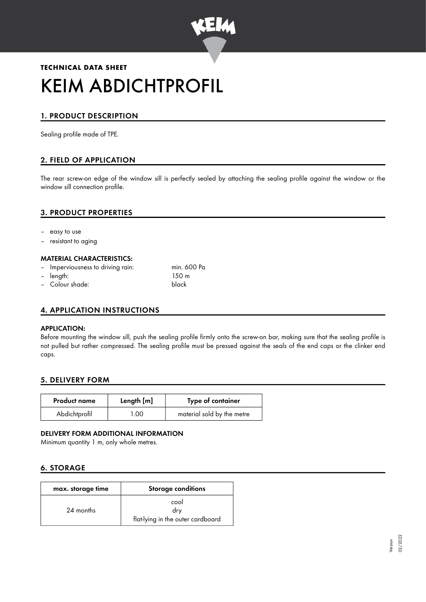

# **TECHNICAL DATA SHEET** KEIM ABDICHTPROFIL

## 1. PRODUCT DESCRIPTION

Sealing profile made of TPE.

## 2. FIELD OF APPLICATION

The rear screw-on edge of the window sill is perfectly sealed by attaching the sealing profile against the window or the window sill connection profile.

## 3. PRODUCT PROPERTIES

- easy to use
- resistant to aging

#### MATERIAL CHARACTERISTICS:

- Imperviousness to driving rain: min. 600 Pa
- length: 150 m
- Colour shade: black

#### 4. APPLICATION INSTRUCTIONS

#### APPLICATION:

Before mounting the window sill, push the sealing profile firmly onto the screw-on bar, making sure that the sealing profile is not pulled but rather compressed. The sealing profile must be pressed against the seals of the end caps or the clinker end caps.

#### 5. DELIVERY FORM

| <b>Product name</b> | Length [m]   | Type of container          |
|---------------------|--------------|----------------------------|
| Abdichtprofil       | $00^{\circ}$ | material sold by the metre |

#### DELIVERY FORM ADDITIONAL INFORMATION

Minimum quantity 1 m, only whole metres.

## 6. STORAGE

| max. storage time | <b>Storage conditions</b>                        |
|-------------------|--------------------------------------------------|
| 24 months         | cool<br>drv<br>flat-lying in the outer cardboard |